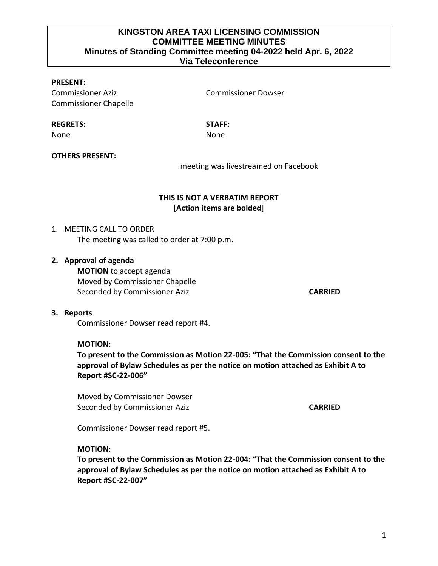## **KINGSTON AREA TAXI LICENSING COMMISSION COMMITTEE MEETING MINUTES Minutes of Standing Committee meeting 04-2022 held Apr. 6, 2022 Via Teleconference**

### **PRESENT:**

Commissioner Aziz Commissioner Dowser Commissioner Chapelle

#### **REGRETS: STAFF:**

None **None** None

### **OTHERS PRESENT:**

meeting was livestreamed on Facebook

# **THIS IS NOT A VERBATIM REPORT** [**Action items are bolded**]

### 1. MEETING CALL TO ORDER

The meeting was called to order at 7:00 p.m.

### **2. Approval of agenda**

**MOTION** to accept agenda Moved by Commissioner Chapelle Seconded by Commissioner Aziz **CARRIED CARRIED** 

#### **3. Reports**

Commissioner Dowser read report #4.

#### **MOTION**:

**To present to the Commission as Motion 22-005: "That the Commission consent to the approval of Bylaw Schedules as per the notice on motion attached as Exhibit A to Report #SC-22-006"**

Moved by Commissioner Dowser Seconded by Commissioner Aziz **CARRIED CARRIED** 

Commissioner Dowser read report #5.

#### **MOTION**:

**To present to the Commission as Motion 22-004: "That the Commission consent to the approval of Bylaw Schedules as per the notice on motion attached as Exhibit A to Report #SC-22-007"**